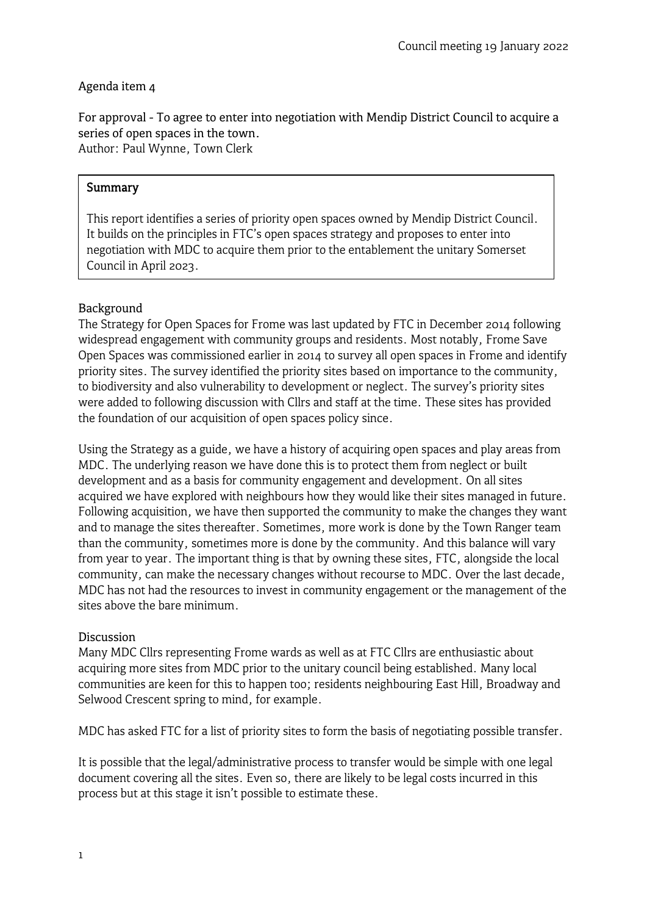## Agenda item 4

For approval - To agree to enter into negotiation with Mendip District Council to acquire a series of open spaces in the town. Author: Paul Wynne, Town Clerk

### **Summary**

This report identifies a series of priority open spaces owned by Mendip District Council. It builds on the principles in FTC's open spaces strategy and proposes to enter into negotiation with MDC to acquire them prior to the entablement the unitary Somerset Council in April 2023.

### Background

The Strategy for Open Spaces for Frome was last updated by FTC in December 2014 following widespread engagement with community groups and residents. Most notably, Frome Save Open Spaces was commissioned earlier in 2014 to survey all open spaces in Frome and identify priority sites. The survey identified the priority sites based on importance to the community, to biodiversity and also vulnerability to development or neglect. The survey's priority sites were added to following discussion with Cllrs and staff at the time. These sites has provided the foundation of our acquisition of open spaces policy since.

Using the Strategy as a guide, we have a history of acquiring open spaces and play areas from MDC. The underlying reason we have done this is to protect them from neglect or built development and as a basis for community engagement and development. On all sites acquired we have explored with neighbours how they would like their sites managed in future. Following acquisition, we have then supported the community to make the changes they want and to manage the sites thereafter. Sometimes, more work is done by the Town Ranger team than the community, sometimes more is done by the community. And this balance will vary from year to year. The important thing is that by owning these sites, FTC, alongside the local community, can make the necessary changes without recourse to MDC. Over the last decade, MDC has not had the resources to invest in community engagement or the management of the sites above the bare minimum.

#### **Discussion**

Many MDC Cllrs representing Frome wards as well as at FTC Cllrs are enthusiastic about acquiring more sites from MDC prior to the unitary council being established. Many local communities are keen for this to happen too; residents neighbouring East Hill, Broadway and Selwood Crescent spring to mind, for example.

MDC has asked FTC for a list of priority sites to form the basis of negotiating possible transfer.

It is possible that the legal/administrative process to transfer would be simple with one legal document covering all the sites. Even so, there are likely to be legal costs incurred in this process but at this stage it isn't possible to estimate these.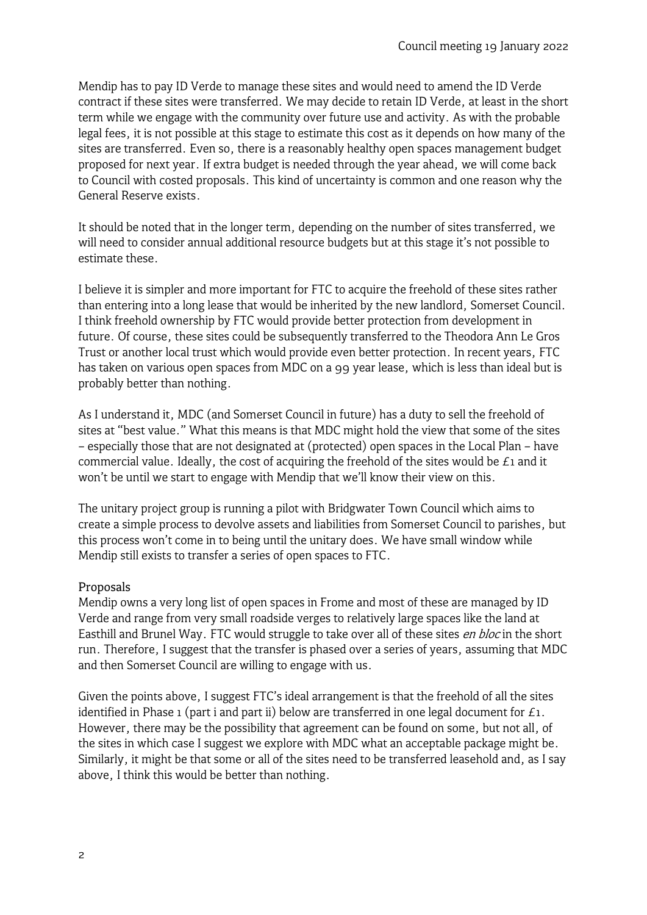Mendip has to pay ID Verde to manage these sites and would need to amend the ID Verde contract if these sites were transferred. We may decide to retain ID Verde, at least in the short term while we engage with the community over future use and activity. As with the probable legal fees, it is not possible at this stage to estimate this cost as it depends on how many of the sites are transferred. Even so, there is a reasonably healthy open spaces management budget proposed for next year. If extra budget is needed through the year ahead, we will come back to Council with costed proposals. This kind of uncertainty is common and one reason why the General Reserve exists.

It should be noted that in the longer term, depending on the number of sites transferred, we will need to consider annual additional resource budgets but at this stage it's not possible to estimate these.

I believe it is simpler and more important for FTC to acquire the freehold of these sites rather than entering into a long lease that would be inherited by the new landlord, Somerset Council. I think freehold ownership by FTC would provide better protection from development in future. Of course, these sites could be subsequently transferred to the Theodora Ann Le Gros Trust or another local trust which would provide even better protection. In recent years, FTC has taken on various open spaces from MDC on a 99 year lease, which is less than ideal but is probably better than nothing.

As I understand it, MDC (and Somerset Council in future) has a duty to sell the freehold of sites at "best value." What this means is that MDC might hold the view that some of the sites – especially those that are not designated at (protected) open spaces in the Local Plan – have commercial value. Ideally, the cost of acquiring the freehold of the sites would be  $E_1$  and it won't be until we start to engage with Mendip that we'll know their view on this.

The unitary project group is running a pilot with Bridgwater Town Council which aims to create a simple process to devolve assets and liabilities from Somerset Council to parishes, but this process won't come in to being until the unitary does. We have small window while Mendip still exists to transfer a series of open spaces to FTC.

### Proposals

Mendip owns a very long list of open spaces in Frome and most of these are managed by ID Verde and range from very small roadside verges to relatively large spaces like the land at Easthill and Brunel Way. FTC would struggle to take over all of these sites *en bloc* in the short run. Therefore, I suggest that the transfer is phased over a series of years, assuming that MDC and then Somerset Council are willing to engage with us.

Given the points above, I suggest FTC's ideal arrangement is that the freehold of all the sites identified in Phase 1 (part i and part ii) below are transferred in one legal document for  $E_1$ . However, there may be the possibility that agreement can be found on some, but not all, of the sites in which case I suggest we explore with MDC what an acceptable package might be. Similarly, it might be that some or all of the sites need to be transferred leasehold and, as I say above, I think this would be better than nothing.